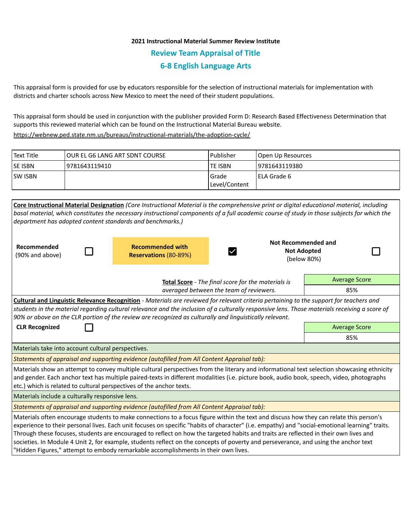# **2021 Instructional Material Summer Review Institute Review Team Appraisal of Title 6-8 English Language Arts**

This appraisal form is provided for use by educators responsible for the selection of instructional materials for implementation with districts and charter schools across New Mexico to meet the need of their student populations.

This appraisal form should be used in conjunction with the publisher provided Form D: Research Based Effectiveness Determination that supports this reviewed material which can be found on the Instructional Material Bureau website.

<https://webnew.ped.state.nm.us/bureaus/instructional-materials/the-adoption-cycle/>

| Text Title     | TOUR EL G6 LANG ART SDNT COURSE | l Publisher               | Open Up Resources |
|----------------|---------------------------------|---------------------------|-------------------|
| <b>SE ISBN</b> | 19781643119410                  | lte ISBN                  | 19781643119380    |
| <b>SW ISBN</b> |                                 | l Grade<br> Level/Content | l ELA Grade 6     |
|                |                                 |                           |                   |

| Core Instructional Material Designation (Core Instructional Material is the comprehensive print or digital educational material, including     |                            |  |  |  |  |
|------------------------------------------------------------------------------------------------------------------------------------------------|----------------------------|--|--|--|--|
| basal material, which constitutes the necessary instructional components of a full academic course of study in those subjects for which the    |                            |  |  |  |  |
| department has adopted content standards and benchmarks.)                                                                                      |                            |  |  |  |  |
|                                                                                                                                                |                            |  |  |  |  |
|                                                                                                                                                | <b>Not Recommended and</b> |  |  |  |  |
| <b>Recommended with</b><br>Recommended                                                                                                         | <b>Not Adopted</b>         |  |  |  |  |
| (90% and above)<br>Reservations (80-89%)                                                                                                       | (below 80%)                |  |  |  |  |
|                                                                                                                                                |                            |  |  |  |  |
| Total Score - The final score for the materials is                                                                                             | <b>Average Score</b>       |  |  |  |  |
| averaged between the team of reviewers.                                                                                                        | 85%                        |  |  |  |  |
| Cultural and Linguistic Relevance Recognition - Materials are reviewed for relevant criteria pertaining to the support for teachers and        |                            |  |  |  |  |
| students in the material regarding cultural relevance and the inclusion of a culturally responsive lens. Those materials receiving a score of  |                            |  |  |  |  |
| 90% or above on the CLR portion of the review are recognized as culturally and linguistically relevant.                                        |                            |  |  |  |  |
| <b>CLR Recognized</b>                                                                                                                          | <b>Average Score</b>       |  |  |  |  |
|                                                                                                                                                | 85%                        |  |  |  |  |
|                                                                                                                                                |                            |  |  |  |  |
| Materials take into account cultural perspectives.                                                                                             |                            |  |  |  |  |
| Statements of appraisal and supporting evidence (autofilled from All Content Appraisal tab):                                                   |                            |  |  |  |  |
| Materials show an attempt to convey multiple cultural perspectives from the literary and informational text selection showcasing ethnicity     |                            |  |  |  |  |
| and gender. Each anchor text has multiple paired-texts in different modalities (i.e. picture book, audio book, speech, video, photographs      |                            |  |  |  |  |
| etc.) which is related to cultural perspectives of the anchor texts.                                                                           |                            |  |  |  |  |
| Materials include a culturally responsive lens.                                                                                                |                            |  |  |  |  |
| Statements of appraisal and supporting evidence (autofilled from All Content Appraisal tab):                                                   |                            |  |  |  |  |
| Materials often encourage students to make connections to a focus figure within the text and discuss how they can relate this person's         |                            |  |  |  |  |
| experience to their personal lives. Each unit focuses on specific "habits of character" (i.e. empathy) and "social-emotional learning" traits. |                            |  |  |  |  |
| Through these focuses, students are encouraged to reflect on how the targeted habits and traits are reflected in their own lives and           |                            |  |  |  |  |
| societies. In Module 4 Unit 2, for example, students reflect on the concepts of poverty and perseverance, and using the anchor text            |                            |  |  |  |  |
| 'Hidden Figures," attempt to embody remarkable accomplishments in their own lives.                                                             |                            |  |  |  |  |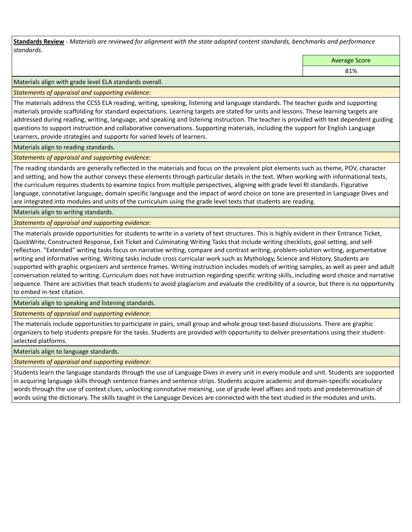**Standards Review** *- Materials are reviewed for alignment with the state adopted content standards, benchmarks and performance standards.*

Average Score

81%

Materials align with grade level ELA standards overall.

*Statements of appraisal and supporting evidence:* 

The materials address the CCSS ELA reading, writing, speaking, listening and language standards. The teacher guide and supporting materials provide scaffolding for standard expectations. Learning targets are stated for units and lessons. These learning targets are addressed during reading, writing, language, and speaking and listening instruction. The teacher is provided with text dependent guiding questions to support instruction and collaborative conversations. Supporting materials, including the support for English Language Learners, provide strategies and supports for varied levels of learners.

Materials align to reading standards.

*Statements of appraisal and supporting evidence:* 

The reading standards are generally reflected in the materials and focus on the prevalent plot elements such as theme, POV, character and setting, and how the author conveys these elements through particular details in the text. When working with informational texts, the curriculum requires students to examine topics from multiple perspectives, aligning with grade level RI standards. Figurative language, connotative language, domain specific language and the impact of word choice on tone are presented in Language Dives and are integrated into modules and units of the curriculum using the grade level texts that students are reading.

Materials align to writing standards.

*Statements of appraisal and supporting evidence:* 

The materials provide opportunities for students to write in a variety of text structures. This is highly evident in their Entrance Ticket, QuickWrite, Constructed Response, Exit Ticket and Culminating Writing Tasks that include writing checklists, goal setting, and selfreflection. "Extended" writing tasks focus on narrative writing, compare and contrast writing, problem-solution writing, argumentative writing and informative writing. Writing tasks include cross curricular work such as Mythology, Science and History. Students are supported with graphic organizers and sentence frames. Writing instruction includes models of writing samples, as well as peer and adult conversation related to writing. Curriculum does not have instruction regarding specific writing skills, including word choice and narrative sequence. There are activities that teach students to avoid plagiarism and evaluate the credibility of a source, but there is no opportunity to embed in-text citation.

Materials align to speaking and listening standards.

*Statements of appraisal and supporting evidence:* 

The materials include opportunities to participate in pairs, small group and whole group text-based discussions. There are graphic organizers to help students prepare for the tasks. Students are provided with opportunity to deliver presentations using their studentselected platforms.

Materials align to language standards.

*Statements of appraisal and supporting evidence:* 

Students learn the language standards through the use of Language Dives in every unit in every module and unit. Students are supported in acquiring language skills through sentence frames and sentence strips. Students acquire academic and domain-specific vocabulary words through the use of context clues, unlocking connotative meaning, use of grade level affixes and roots and predetermination of words using the dictionary. The skills taught in the Language Devices are connected with the text studied in the modules and units.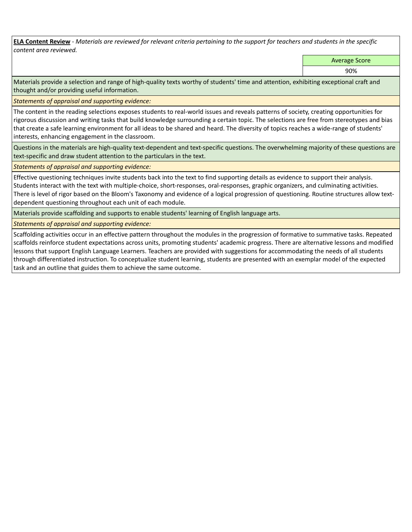**ELA Content Review** *- Materials are reviewed for relevant criteria pertaining to the support for teachers and students in the specific content area reviewed.*

Average Score

90%

Materials provide a selection and range of high-quality texts worthy of students' time and attention, exhibiting exceptional craft and thought and/or providing useful information.

*Statements of appraisal and supporting evidence:* 

The content in the reading selections exposes students to real-world issues and reveals patterns of society, creating opportunities for rigorous discussion and writing tasks that build knowledge surrounding a certain topic. The selections are free from stereotypes and bias that create a safe learning environment for all ideas to be shared and heard. The diversity of topics reaches a wide-range of students' interests, enhancing engagement in the classroom.

Questions in the materials are high-quality text-dependent and text-specific questions. The overwhelming majority of these questions are text-specific and draw student attention to the particulars in the text.

*Statements of appraisal and supporting evidence:* 

Effective questioning techniques invite students back into the text to find supporting details as evidence to support their analysis. Students interact with the text with multiple-choice, short-responses, oral-responses, graphic organizers, and culminating activities. There is level of rigor based on the Bloom's Taxonomy and evidence of a logical progression of questioning. Routine structures allow textdependent questioning throughout each unit of each module.

Materials provide scaffolding and supports to enable students' learning of English language arts.

*Statements of appraisal and supporting evidence:* 

Scaffolding activities occur in an effective pattern throughout the modules in the progression of formative to summative tasks. Repeated scaffolds reinforce student expectations across units, promoting students' academic progress. There are alternative lessons and modified lessons that support English Language Learners. Teachers are provided with suggestions for accommodating the needs of all students through differentiated instruction. To conceptualize student learning, students are presented with an exemplar model of the expected task and an outline that guides them to achieve the same outcome.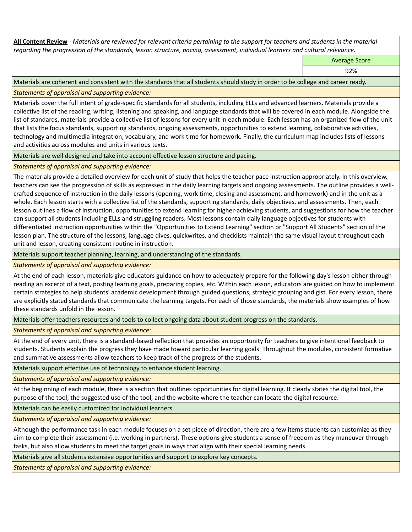**All Content Review** *- Materials are reviewed for relevant criteria pertaining to the support for teachers and students in the material regarding the progression of the standards, lesson structure, pacing, assessment, individual learners and cultural relevance.*

Average Score

92%

Materials are coherent and consistent with the standards that all students should study in order to be college and career ready.

*Statements of appraisal and supporting evidence:*

Materials cover the full intent of grade-specific standards for all students, including ELLs and advanced learners. Materials provide a collective list of the reading, writing, listening and speaking, and language standards that will be covered in each module. Alongside the list of standards, materials provide a collective list of lessons for every unit in each module. Each lesson has an organized flow of the unit that lists the focus standards, supporting standards, ongoing assessments, opportunities to extend learning, collaborative activities, technology and multimedia integration, vocabulary, and work time for homework. Finally, the curriculum map includes lists of lessons and activities across modules and units in various texts.

Materials are well designed and take into account effective lesson structure and pacing.

*Statements of appraisal and supporting evidence:*

The materials provide a detailed overview for each unit of study that helps the teacher pace instruction appropriately. In this overview, teachers can see the progression of skills as expressed in the daily learning targets and ongoing assessments. The outline provides a wellcrafted sequence of instruction in the daily lessons (opening, work time, closing and assessment, and homework) and in the unit as a whole. Each lesson starts with a collective list of the standards, supporting standards, daily objectives, and assessments. Then, each lesson outlines a flow of instruction, opportunities to extend learning for higher-achieving students, and suggestions for how the teacher can support all students including ELLs and struggling readers. Most lessons contain daily language objectives for students with differentiated instruction opportunities within the "Opportunities to Extend Learning" section or "Support All Students" section of the lesson plan. The structure of the lessons, language dives, quickwrites, and checklists maintain the same visual layout throughout each unit and lesson, creating consistent routine in instruction.

Materials support teacher planning, learning, and understanding of the standards.

*Statements of appraisal and supporting evidence:*

At the end of each lesson, materials give educators guidance on how to adequately prepare for the following day's lesson either through reading an excerpt of a text, posting learning goals, preparing copies, etc. Within each lesson, educators are guided on how to implement certain strategies to help students' academic development through guided questions, strategic grouping and gist. For every lesson, there are explicitly stated standards that communicate the learning targets. For each of those standards, the materials show examples of how these standards unfold in the lesson.

Materials offer teachers resources and tools to collect ongoing data about student progress on the standards.

*Statements of appraisal and supporting evidence:*

At the end of every unit, there is a standard-based reflection that provides an opportunity for teachers to give intentional feedback to students. Students explain the progress they have made toward particular learning goals. Throughout the modules, consistent formative and summative assessments allow teachers to keep track of the progress of the students.

Materials support effective use of technology to enhance student learning.

*Statements of appraisal and supporting evidence:*

At the beginning of each module, there is a section that outlines opportunities for digital learning. It clearly states the digital tool, the purpose of the tool, the suggested use of the tool, and the website where the teacher can locate the digital resource.

Materials can be easily customized for individual learners.

*Statements of appraisal and supporting evidence:* 

Although the performance task in each module focuses on a set piece of direction, there are a few items students can customize as they aim to complete their assessment (i.e. working in partners). These options give students a sense of freedom as they maneuver through tasks, but also allow students to meet the target goals in ways that align with their special learning needs

Materials give all students extensive opportunities and support to explore key concepts.

*Statements of appraisal and supporting evidence:*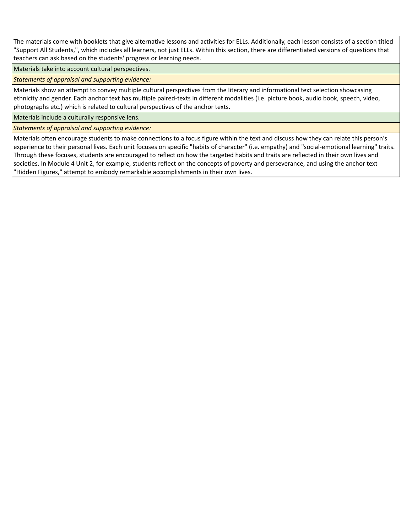The materials come with booklets that give alternative lessons and activities for ELLs. Additionally, each lesson consists of a section titled "Support All Students,", which includes all learners, not just ELLs. Within this section, there are differentiated versions of questions that teachers can ask based on the students' progress or learning needs.

Materials take into account cultural perspectives.

*Statements of appraisal and supporting evidence:*

Materials show an attempt to convey multiple cultural perspectives from the literary and informational text selection showcasing ethnicity and gender. Each anchor text has multiple paired-texts in different modalities (i.e. picture book, audio book, speech, video, photographs etc.) which is related to cultural perspectives of the anchor texts.

Materials include a culturally responsive lens.

*Statements of appraisal and supporting evidence:*

Materials often encourage students to make connections to a focus figure within the text and discuss how they can relate this person's experience to their personal lives. Each unit focuses on specific "habits of character" (i.e. empathy) and "social-emotional learning" traits. Through these focuses, students are encouraged to reflect on how the targeted habits and traits are reflected in their own lives and societies. In Module 4 Unit 2, for example, students reflect on the concepts of poverty and perseverance, and using the anchor text "Hidden Figures," attempt to embody remarkable accomplishments in their own lives.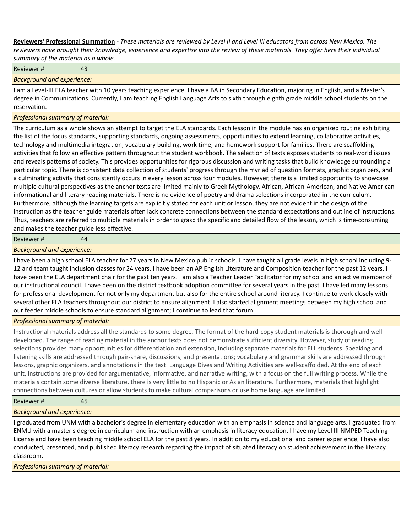**Reviewers' Professional Summation** *- These materials are reviewed by Level II and Level III educators from across New Mexico. The reviewers have brought their knowledge, experience and expertise into the review of these materials. They offer here their individual summary of the material as a whole.*

Reviewer #: 43

*Background and experience:*

I am a Level-III ELA teacher with 10 years teaching experience. I have a BA in Secondary Education, majoring in English, and a Master's degree in Communications. Currently, I am teaching English Language Arts to sixth through eighth grade middle school students on the reservation.

### *Professional summary of material:*

The curriculum as a whole shows an attempt to target the ELA standards. Each lesson in the module has an organized routine exhibiting the list of the focus standards, supporting standards, ongoing assessments, opportunities to extend learning, collaborative activities, technology and multimedia integration, vocabulary building, work time, and homework support for families. There are scaffolding activities that follow an effective pattern throughout the student workbook. The selection of texts exposes students to real-world issues and reveals patterns of society. This provides opportunities for rigorous discussion and writing tasks that build knowledge surrounding a particular topic. There is consistent data collection of students' progress through the myriad of question formats, graphic organizers, and a culminating activity that consistently occurs in every lesson across four modules. However, there is a limited opportunity to showcase multiple cultural perspectives as the anchor texts are limited mainly to Greek Mythology, African, African-American, and Native American informational and literary reading materials. There is no evidence of poetry and drama selections incorporated in the curriculum. Furthermore, although the learning targets are explicitly stated for each unit or lesson, they are not evident in the design of the instruction as the teacher guide materials often lack concrete connections between the standard expectations and outline of instructions. Thus, teachers are referred to multiple materials in order to grasp the specific and detailed flow of the lesson, which is time-consuming and makes the teacher guide less effective.

#### Reviewer #: 44

*Background and experience:*

I have been a high school ELA teacher for 27 years in New Mexico public schools. I have taught all grade levels in high school including 9- 12 and team taught inclusion classes for 24 years. I have been an AP English Literature and Composition teacher for the past 12 years. I have been the ELA department chair for the past ten years. I am also a Teacher Leader Facilitator for my school and an active member of our instructional council. I have been on the district textbook adoption committee for several years in the past. I have led many lessons for professional development for not only my department but also for the entire school around literacy. I continue to work closely with several other ELA teachers throughout our district to ensure alignment. I also started alignment meetings between my high school and our feeder middle schools to ensure standard alignment; I continue to lead that forum.

## *Professional summary of material:*

Instructional materials address all the standards to some degree. The format of the hard-copy student materials is thorough and welldeveloped. The range of reading material in the anchor texts does not demonstrate sufficient diversity. However, study of reading selections provides many opportunities for differentiation and extension, including separate materials for ELL students. Speaking and listening skills are addressed through pair-share, discussions, and presentations; vocabulary and grammar skills are addressed through lessons, graphic organizers, and annotations in the text. Language Dives and Writing Activities are well-scaffolded. At the end of each unit, instructions are provided for argumentative, informative, and narrative writing, with a focus on the full writing process. While the materials contain some diverse literature, there is very little to no Hispanic or Asian literature. Furthermore, materials that highlight connections between cultures or allow students to make cultural comparisons or use home language are limited.

## Reviewer #: 45

*Background and experience:*

I graduated from UNM with a bachelor's degree in elementary education with an emphasis in science and language arts. I graduated from ENMU with a master's degree in curriculum and instruction with an emphasis in literacy education. I have my Level III NMPED Teaching License and have been teaching middle school ELA for the past 8 years. In addition to my educational and career experience, I have also conducted, presented, and published literacy research regarding the impact of situated literacy on student achievement in the literacy classroom.

*Professional summary of material:*